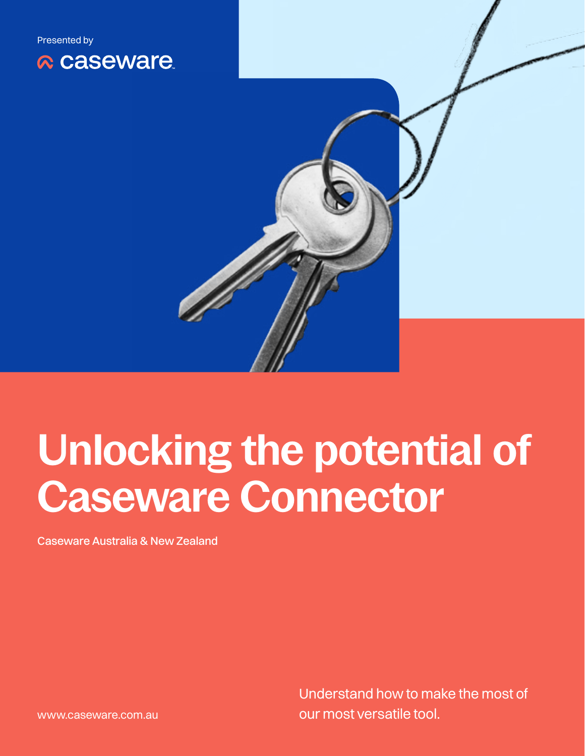

# **Unlocking the potential of Caseware Connector**

Caseware Australia & New Zealand

Understand how to make the most of our most versatile tool.

www.caseware.com.au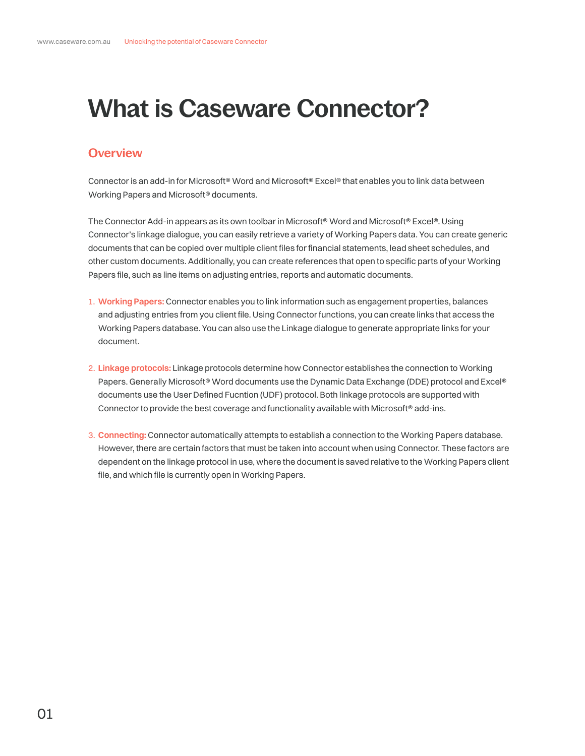# **What is Caseware Connector?**

# **Overview**

Connector is an add-in for Microsoft® Word and Microsoft® Excel® that enables you to link data between Working Papers and Microsoft® documents.

The Connector Add-in appears as its own toolbar in Microsoft® Word and Microsoft® Excel®. Using Connector's linkage dialogue, you can easily retrieve a variety of Working Papers data. You can create generic documents that can be copied over multiple client files for financial statements, lead sheet schedules, and other custom documents. Additionally, you can create references that open to specific parts of your Working Papers file, such as line items on adjusting entries, reports and automatic documents.

- 1. **Working Papers:** Connector enables you to link information such as engagement properties, balances and adjusting entries from you client file. Using Connector functions, you can create links that access the Working Papers database. You can also use the Linkage dialogue to generate appropriate links for your document.
- 2. **Linkage protocols:** Linkage protocols determine how Connector establishes the connection to Working Papers. Generally Microsoft® Word documents use the Dynamic Data Exchange (DDE) protocol and Excel® documents use the User Defined Fucntion (UDF) protocol. Both linkage protocols are supported with Connector to provide the best coverage and functionality available with Microsoft® add-ins.
- 3. **Connecting:** Connector automatically attempts to establish a connection to the Working Papers database. However, there are certain factors that must be taken into account when using Connector. These factors are dependent on the linkage protocol in use, where the document is saved relative to the Working Papers client file, and which file is currently open in Working Papers.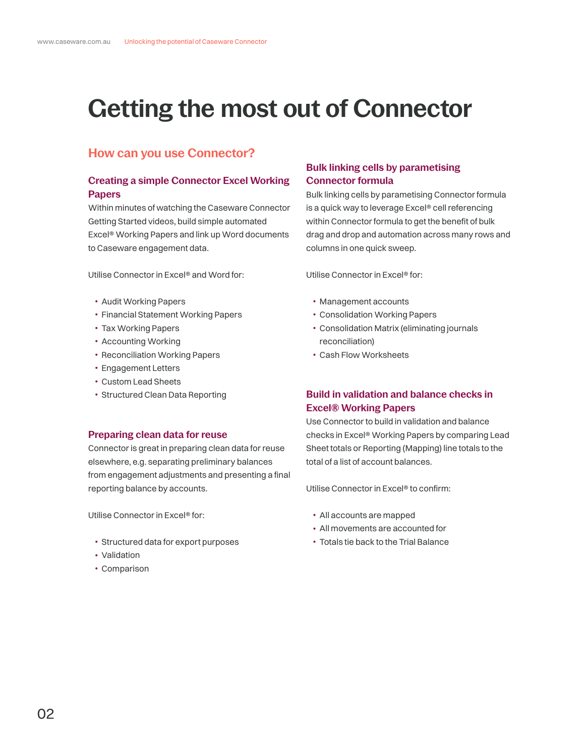# **Getting the most out of Connector**

# **How can you use Connector?**

# **Creating a simple Connector Excel Working Papers**

Within minutes of watching the Caseware Connector Getting Started videos, build simple automated Excel® Working Papers and link up Word documents to Caseware engagement data.

Utilise Connector in Excel® and Word for:

- Audit Working Papers
- Financial Statement Working Papers
- Tax Working Papers
- Accounting Working
- Reconciliation Working Papers
- Engagement Letters
- Custom Lead Sheets
- Structured Clean Data Reporting

#### **Preparing clean data for reuse**

Connector is great in preparing clean data for reuse elsewhere, e.g. separating preliminary balances from engagement adjustments and presenting a final reporting balance by accounts.

Utilise Connector in Excel® for:

- Structured data for export purposes
- Validation
- Comparison

### **Bulk linking cells by parametising Connector formula**

Bulk linking cells by parametising Connector formula is a quick way to leverage Excel® cell referencing within Connector formula to get the benefit of bulk drag and drop and automation across many rows and columns in one quick sweep.

Utilise Connector in Excel® for:

- Management accounts
- Consolidation Working Papers
- Consolidation Matrix (eliminating journals reconciliation)
- Cash Flow Worksheets

# **Build in validation and balance checks in Excel® Working Papers**

Use Connector to build in validation and balance checks in Excel® Working Papers by comparing Lead Sheet totals or Reporting (Mapping) line totals to the total of a list of account balances.

Utilise Connector in Excel® to confirm:

- All accounts are mapped
- All movements are accounted for
- Totals tie back to the Trial Balance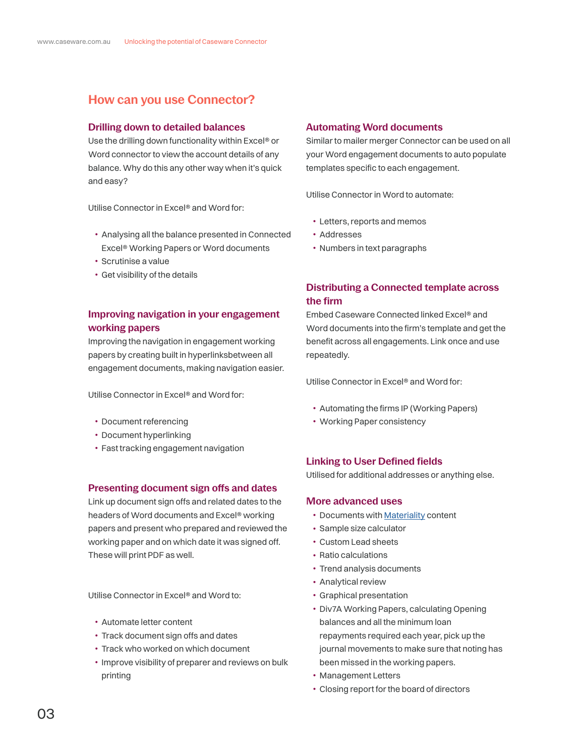# **How can you use Connector?**

#### **Drilling down to detailed balances**

Use the drilling down functionality within Excel® or Word connector to view the account details of any balance. Why do this any other way when it's quick and easy?

Utilise Connector in Excel® and Word for:

- Analysing all the balance presented in Connected Excel® Working Papers or Word documents
- Scrutinise a value
- Get visibility of the details

### **Improving navigation in your engagement working papers**

Improving the navigation in engagement working papers by creating built in hyperlinksbetween all engagement documents, making navigation easier.

Utilise Connector in Excel® and Word for:

- Document referencing
- Document hyperlinking
- Fast tracking engagement navigation

#### **Presenting document sign offs and dates**

Link up document sign offs and related dates to the headers of Word documents and Excel® working papers and present who prepared and reviewed the working paper and on which date it was signed off. These will print PDF as well.

Utilise Connector in Excel® and Word to:

- Automate letter content
- Track document sign offs and dates
- Track who worked on which document
- Improve visibility of preparer and reviews on bulk printing

#### **Automating Word documents**

Similar to mailer merger Connector can be used on all your Word engagement documents to auto populate templates specific to each engagement.

Utilise Connector in Word to automate:

- Letters, reports and memos
- Addresses
- Numbers in text paragraphs

### **Distributing a Connected template across the firm**

Embed Caseware Connected linked Excel® and Word documents into the firm's template and get the benefit across all engagements. Link once and use repeatedly.

Utilise Connector in Excel® and Word for:

- Automating the firms IP (Working Papers)
- Working Paper consistency

#### **Linking to User Defined fields**

Utilised for additional addresses or anything else.

#### **More advanced uses**

- Documents with [Materiality](https://documentation.caseware.com/2021/CaseView/en/Content/Setup/Document-management/Create-a-materiality-document.htm?Highlight=materiality) content
- Sample size calculator
- Custom Lead sheets
- Ratio calculations
- Trend analysis documents
- Analytical review
- Graphical presentation
- Div7A Working Papers, calculating Opening balances and all the minimum loan repayments required each year, pick up the journal movements to make sure that noting has been missed in the working papers.
- Management Letters
- Closing report for the board of directors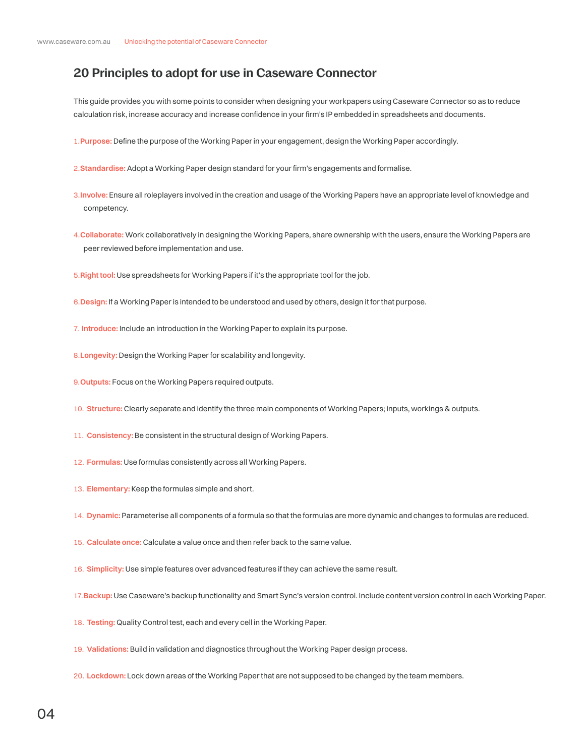# **20 Principles to adopt for use in Caseware Connector**

This guide provides you with some points to consider when designing your workpapers using Caseware Connector so as to reduce calculation risk, increase accuracy and increase confidence in your firm's IP embedded in spreadsheets and documents.

- 1.**Purpose:** Define the purpose of the Working Paper in your engagement, design the Working Paper accordingly.
- 2.**Standardise:** Adopt a Working Paper design standard for your firm's engagements and formalise.
- 3.**Involve:** Ensure all roleplayers involved in the creation and usage of the Working Papers have an appropriate level of knowledge and competency.
- 4.**Collaborate:** Work collaboratively in designing the Working Papers, share ownership with the users, ensure the Working Papers are peer reviewed before implementation and use.
- 5.**Right tool:** Use spreadsheets for Working Papers if it's the appropriate tool for the job.
- 6.**Design:** If a Working Paper is intended to be understood and used by others, design it for that purpose.
- 7. **Introduce:** Include an introduction in the Working Paper to explain its purpose.
- 8.**Longevity:** Design the Working Paper for scalability and longevity.
- 9.**Outputs:** Focus on the Working Papers required outputs.
- 10. **Structure:** Clearly separate and identify the three main components of Working Papers; inputs, workings & outputs.
- 11. **Consistency:** Be consistent in the structural design of Working Papers.
- 12. **Formulas:** Use formulas consistently across all Working Papers.
- 13. **Elementary:** Keep the formulas simple and short.
- 14. **Dynamic:** Parameterise all components of a formula so that the formulas are more dynamic and changes to formulas are reduced.
- 15. **Calculate once:** Calculate a value once and then refer back to the same value.
- 16. **Simplicity:** Use simple features over advanced features if they can achieve the same result.
- 17.**Backup:** Use Caseware's backup functionality and Smart Sync's version control. Include content version control in each Working Paper.
- 18. **Testing:** Quality Control test, each and every cell in the Working Paper.
- 19. **Validations:** Build in validation and diagnostics throughout the Working Paper design process.
- 20. **Lockdown:** Lock down areas of the Working Paper that are not supposed to be changed by the team members.